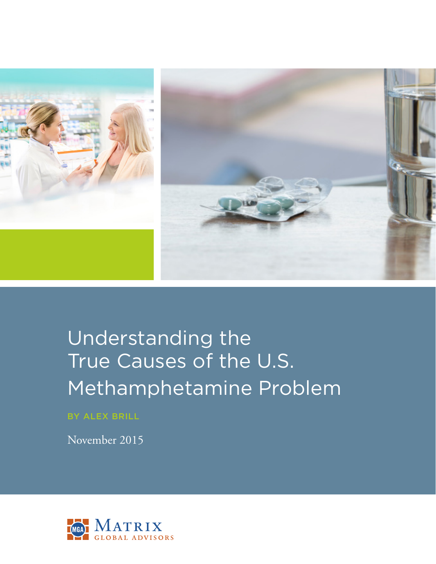

# Understanding the True Causes of the U.S. Methamphetamine Problem

BY ALEX BRILL

November 2015

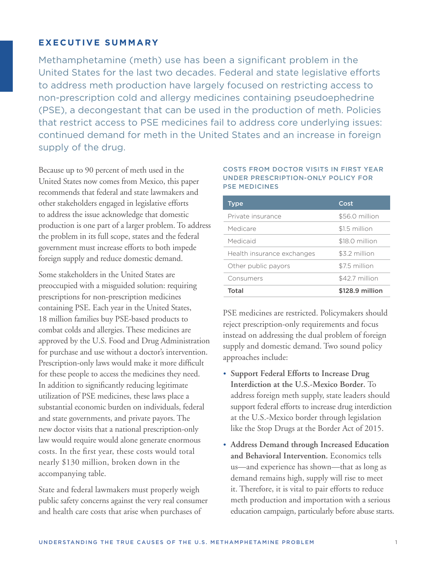## **EXECUTIVE SUMMARY**

Methamphetamine (meth) use has been a significant problem in the United States for the last two decades. Federal and state legislative efforts to address meth production have largely focused on restricting access to non-prescription cold and allergy medicines containing pseudoephedrine (PSE), a decongestant that can be used in the production of meth. Policies that restrict access to PSE medicines fail to address core underlying issues: continued demand for meth in the United States and an increase in foreign supply of the drug.

Because up to 90 percent of meth used in the United States now comes from Mexico, this paper recommends that federal and state lawmakers and other stakeholders engaged in legislative efforts to address the issue acknowledge that domestic production is one part of a larger problem. To address the problem in its full scope, states and the federal government must increase efforts to both impede foreign supply and reduce domestic demand.

Some stakeholders in the United States are preoccupied with a misguided solution: requiring prescriptions for non-prescription medicines containing PSE. Each year in the United States, 18 million families buy PSE-based products to combat colds and allergies. These medicines are approved by the U.S. Food and Drug Administration for purchase and use without a doctor's intervention. Prescription-only laws would make it more difficult for these people to access the medicines they need. In addition to significantly reducing legitimate utilization of PSE medicines, these laws place a substantial economic burden on individuals, federal and state governments, and private payors. The new doctor visits that a national prescription-only law would require would alone generate enormous costs. In the first year, these costs would total nearly \$130 million, broken down in the accompanying table.

State and federal lawmakers must properly weigh public safety concerns against the very real consumer and health care costs that arise when purchases of

#### COSTS FROM DOCTOR VISITS IN FIRST YEAR UNDER PRESCRIPTION-ONLY POLICY FOR PSE MEDICINES

| <b>Type</b>                | Cost            |
|----------------------------|-----------------|
| Private insurance          | \$56.0 million  |
| Medicare                   | \$1.5 million   |
| Medicaid                   | \$18.0 million  |
| Health insurance exchanges | \$3.2 million   |
| Other public payors        | \$7.5 million   |
| Consumers                  | \$42.7 million  |
| Total                      | \$128.9 million |

PSE medicines are restricted. Policymakers should reject prescription-only requirements and focus instead on addressing the dual problem of foreign supply and domestic demand. Two sound policy approaches include:

- **• Support Federal Efforts to Increase Drug Interdiction at the U.S.-Mexico Border.** To address foreign meth supply, state leaders should support federal efforts to increase drug interdiction at the U.S.-Mexico border through legislation like the Stop Drugs at the Border Act of 2015.
- **• Address Demand through Increased Education and Behavioral Intervention.** Economics tells us—and experience has shown—that as long as demand remains high, supply will rise to meet it. Therefore, it is vital to pair efforts to reduce meth production and importation with a serious education campaign, particularly before abuse starts.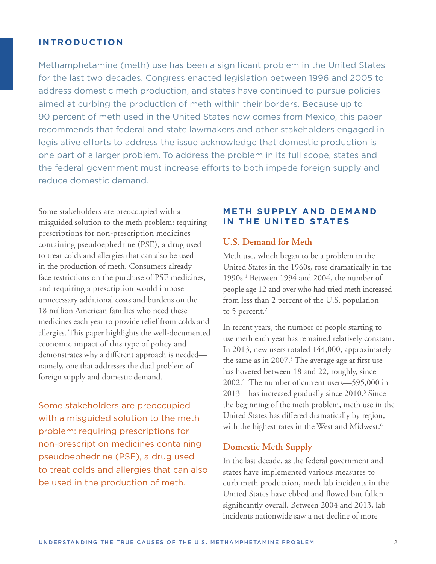#### **I N T R O D U C T I O N**

Methamphetamine (meth) use has been a significant problem in the United States for the last two decades. Congress enacted legislation between 1996 and 2005 to address domestic meth production, and states have continued to pursue policies aimed at curbing the production of meth within their borders. Because up to 90 percent of meth used in the United States now comes from Mexico, this paper recommends that federal and state lawmakers and other stakeholders engaged in legislative efforts to address the issue acknowledge that domestic production is one part of a larger problem. To address the problem in its full scope, states and the federal government must increase efforts to both impede foreign supply and reduce domestic demand.

Some stakeholders are preoccupied with a misguided solution to the meth problem: requiring prescriptions for non-prescription medicines containing pseudoephedrine (PSE), a drug used to treat colds and allergies that can also be used in the production of meth. Consumers already face restrictions on the purchase of PSE medicines, and requiring a prescription would impose unnecessary additional costs and burdens on the 18 million American families who need these medicines each year to provide relief from colds and allergies. This paper highlights the well-documented economic impact of this type of policy and demonstrates why a different approach is needed namely, one that addresses the dual problem of foreign supply and domestic demand.

Some stakeholders are preoccupied with a misguided solution to the meth problem: requiring prescriptions for non-prescription medicines containing pseudoephedrine (PSE), a drug used to treat colds and allergies that can also be used in the production of meth.

#### **METH SUPPLY AND DEMAND IN THE UNITED STATES**

#### **U.S. Demand for Meth**

Meth use, which began to be a problem in the United States in the 1960s, rose dramatically in the 1990s.1 Between 1994 and 2004, the number of people age 12 and over who had tried meth increased from less than 2 percent of the U.S. population to 5 percent.<sup>2</sup>

In recent years, the number of people starting to use meth each year has remained relatively constant. In 2013, new users totaled 144,000, approximately the same as in  $2007$ .<sup>3</sup> The average age at first use has hovered between 18 and 22, roughly, since 2002.4 The number of current users—595,000 in 2013—has increased gradually since 2010.<sup>5</sup> Since the beginning of the meth problem, meth use in the United States has differed dramatically by region, with the highest rates in the West and Midwest.<sup>6</sup>

#### **Domestic Meth Supply**

In the last decade, as the federal government and states have implemented various measures to curb meth production, meth lab incidents in the United States have ebbed and flowed but fallen significantly overall. Between 2004 and 2013, lab incidents nationwide saw a net decline of more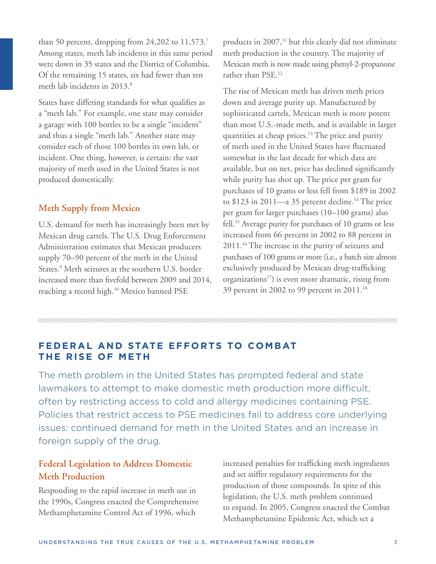than 50 percent, dropping from 24,202 to 11,573.7 Among states, meth lab incidents in this same period were down in 35 states and the District of Columbia. Of the remaining 15 states, six had fewer than ten meth lab incidents in 2013.<sup>8</sup>

States have differing standards for what qualifies as a "meth lab." For example, one state may consider a garage with 100 bottles to be a single "incident" and thus a single "meth lab." Another state may consider each of those 100 bottles its own lab, or incident. One thing, however, is certain: the vast majority of meth used in the United States is not produced domestically.

### **Meth Supply from Mexico**

U.S. demand for meth has increasingly been met by Mexican drug cartels. The U.S. Drug Enforcement Administration estimates that Mexican producers supply 70–90 percent of the meth in the United States.<sup>9</sup> Meth seizures at the southern U.S. border increased more than fivefold between 2009 and 2014, reaching a record high.<sup>10</sup> Mexico banned PSE

products in  $2007$ ,<sup>11</sup> but this clearly did not eliminate meth production in the country. The majority of Mexican meth is now made using phenyl-2-propanone rather than PSE.12

The rise of Mexican meth has driven meth prices down and average purity up. Manufactured by sophisticated cartels, Mexican meth is more potent than most U.S.-made meth, and is available in larger quantities at cheap prices.<sup>13</sup> The price and purity of meth used in the United States have fluctuated somewhat in the last decade for which data are available, but on net, price has declined significantly while purity has shot up. The price per gram for purchases of 10 grams or less fell from \$189 in 2002 to  $$123$  in 2011—a 35 percent decline.<sup>14</sup> The price per gram for larger purchases (10–100 grams) also fell.15 Average purity for purchases of 10 grams or less increased from 66 percent in 2002 to 88 percent in 2011.16 The increase in the purity of seizures and purchases of 100 grams or more (i.e., a batch size almost exclusively produced by Mexican drug-trafficking organizations<sup>17</sup>) is even more dramatic, rising from 39 percent in 2002 to 99 percent in 2011.18

## **FEDERAL AND STATE EFFORTS TO COMBAT THE RISE OF METH**

The meth problem in the United States has prompted federal and state lawmakers to attempt to make domestic meth production more difficult, often by restricting access to cold and allergy medicines containing PSE. Policies that restrict access to PSE medicines fail to address core underlying issues: continued demand for meth in the United States and an increase in foreign supply of the drug.

## **Federal Legislation to Address Domestic Meth Production**

Responding to the rapid increase in meth use in the 1990s, Congress enacted the Comprehensive Methamphetamine Control Act of 1996, which

increased penalties for trafficking meth ingredients and set stiffer regulatory requirements for the production of those compounds. In spite of this legislation, the U.S. meth problem continued to expand. In 2005, Congress enacted the Combat Methamphetamine Epidemic Act, which set a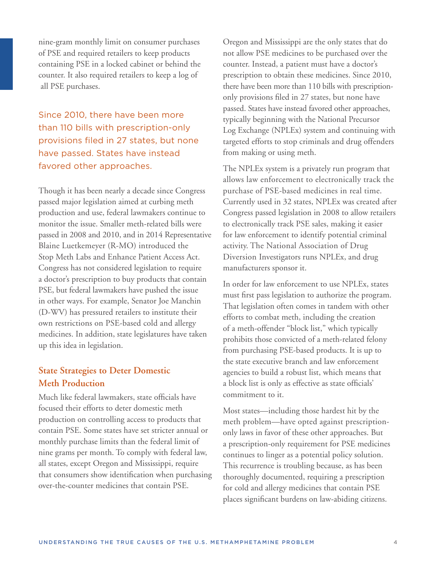nine-gram monthly limit on consumer purchases of PSE and required retailers to keep products containing PSE in a locked cabinet or behind the counter. It also required retailers to keep a log of all PSE purchases.

Since 2010, there have been more than 110 bills with prescription-only provisions filed in 27 states, but none have passed. States have instead favored other approaches.

Though it has been nearly a decade since Congress passed major legislation aimed at curbing meth production and use, federal lawmakers continue to monitor the issue. Smaller meth-related bills were passed in 2008 and 2010, and in 2014 Representative Blaine Luetkemeyer (R-MO) introduced the Stop Meth Labs and Enhance Patient Access Act. Congress has not considered legislation to require a doctor's prescription to buy products that contain PSE, but federal lawmakers have pushed the issue in other ways. For example, Senator Joe Manchin (D-WV) has pressured retailers to institute their own restrictions on PSE-based cold and allergy medicines. In addition, state legislatures have taken up this idea in legislation.

## **State Strategies to Deter Domestic Meth Production**

Much like federal lawmakers, state officials have focused their efforts to deter domestic meth production on controlling access to products that contain PSE. Some states have set stricter annual or monthly purchase limits than the federal limit of nine grams per month. To comply with federal law, all states, except Oregon and Mississippi, require that consumers show identification when purchasing over-the-counter medicines that contain PSE.

Oregon and Mississippi are the only states that do not allow PSE medicines to be purchased over the counter. Instead, a patient must have a doctor's prescription to obtain these medicines. Since 2010, there have been more than 110 bills with prescriptiononly provisions filed in 27 states, but none have passed. States have instead favored other approaches, typically beginning with the National Precursor Log Exchange (NPLEx) system and continuing with targeted efforts to stop criminals and drug offenders from making or using meth.

The NPLEx system is a privately run program that allows law enforcement to electronically track the purchase of PSE-based medicines in real time. Currently used in 32 states, NPLEx was created after Congress passed legislation in 2008 to allow retailers to electronically track PSE sales, making it easier for law enforcement to identify potential criminal activity. The National Association of Drug Diversion Investigators runs NPLEx, and drug manufacturers sponsor it.

In order for law enforcement to use NPLEx, states must first pass legislation to authorize the program. That legislation often comes in tandem with other efforts to combat meth, including the creation of a meth-offender "block list," which typically prohibits those convicted of a meth-related felony from purchasing PSE-based products. It is up to the state executive branch and law enforcement agencies to build a robust list, which means that a block list is only as effective as state officials' commitment to it.

Most states—including those hardest hit by the meth problem—have opted against prescriptiononly laws in favor of these other approaches. But a prescription-only requirement for PSE medicines continues to linger as a potential policy solution. This recurrence is troubling because, as has been thoroughly documented, requiring a prescription for cold and allergy medicines that contain PSE places significant burdens on law-abiding citizens.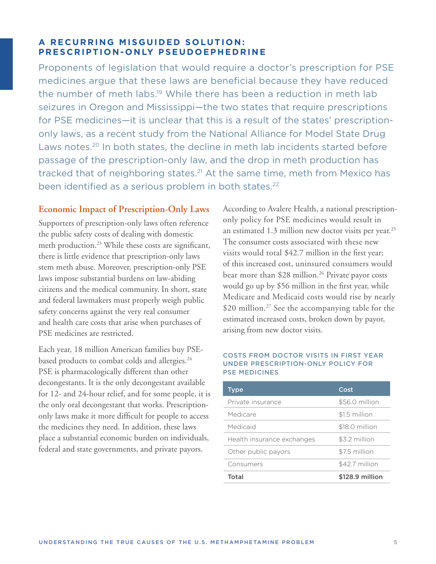## **A RECURRING MISGUIDED SOLUTION: PRESCRIPTION-ONLY PSEUDOEPHEDRINE**

Proponents of legislation that would require a doctor's prescription for PSE medicines argue that these laws are beneficial because they have reduced the number of meth labs.<sup>19</sup> While there has been a reduction in meth lab seizures in Oregon and Mississippi—the two states that require prescriptions for PSE medicines—it is unclear that this is a result of the states' prescriptiononly laws, as a recent study from the National Alliance for Model State Drug Laws notes.<sup>20</sup> In both states, the decline in meth lab incidents started before passage of the prescription-only law, and the drop in meth production has tracked that of neighboring states.<sup>21</sup> At the same time, meth from Mexico has been identified as a serious problem in both states.<sup>22</sup>

## **Economic Impact of Prescription-Only Laws**

Supporters of prescription-only laws often reference the public safety costs of dealing with domestic meth production.<sup>23</sup> While these costs are significant, there is little evidence that prescription-only laws stem meth abuse. Moreover, prescription-only PSE laws impose substantial burdens on law-abiding citizens and the medical community. In short, state and federal lawmakers must properly weigh public safety concerns against the very real consumer and health care costs that arise when purchases of PSE medicines are restricted.

Each year, 18 million American families buy PSEbased products to combat colds and allergies.<sup>24</sup> PSE is pharmacologically different than other decongestants. It is the only decongestant available for 12- and 24-hour relief, and for some people, it is the only oral decongestant that works. Prescriptiononly laws make it more difficult for people to access the medicines they need. In addition, these laws place a substantial economic burden on individuals, federal and state governments, and private payors.

According to Avalere Health, a national prescriptiononly policy for PSE medicines would result in an estimated 1.3 million new doctor visits per year.<sup>25</sup> The consumer costs associated with these new visits would total \$42.7 million in the first year; of this increased cost, uninsured consumers would bear more than \$28 million.<sup>26</sup> Private payor costs would go up by \$56 million in the first year, while Medicare and Medicaid costs would rise by nearly \$20 million.<sup>27</sup> See the accompanying table for the estimated increased costs, broken down by payor, arising from new doctor visits.

#### COSTS FROM DOCTOR VISITS IN FIRST YEAR UNDER PRESCRIPTION-ONLY POLICY FOR PSE MEDICINES

| <b>Type</b>                | Cost            |
|----------------------------|-----------------|
| Private insurance          | \$56.0 million  |
| Medicare                   | \$1.5 million   |
| Medicaid                   | \$18.0 million  |
| Health insurance exchanges | \$3.2 million   |
| Other public payors        | \$7.5 million   |
| Consumers                  | \$42.7 million  |
| Total                      | \$128.9 million |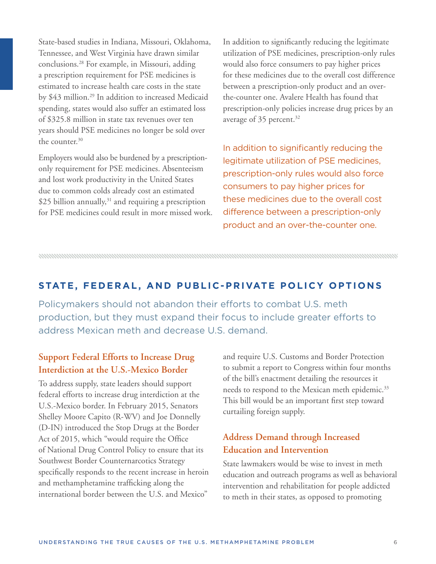State-based studies in Indiana, Missouri, Oklahoma, Tennessee, and West Virginia have drawn similar conclusions.28 For example, in Missouri, adding a prescription requirement for PSE medicines is estimated to increase health care costs in the state by \$43 million.<sup>29</sup> In addition to increased Medicaid spending, states would also suffer an estimated loss of \$325.8 million in state tax revenues over ten years should PSE medicines no longer be sold over the counter.<sup>30</sup>

Employers would also be burdened by a prescriptiononly requirement for PSE medicines. Absenteeism and lost work productivity in the United States due to common colds already cost an estimated  $$25$  billion annually,<sup>31</sup> and requiring a prescription for PSE medicines could result in more missed work. In addition to significantly reducing the legitimate utilization of PSE medicines, prescription-only rules would also force consumers to pay higher prices for these medicines due to the overall cost difference between a prescription-only product and an overthe-counter one. Avalere Health has found that prescription-only policies increase drug prices by an average of 35 percent.<sup>32</sup>

In addition to significantly reducing the legitimate utilization of PSE medicines, prescription-only rules would also force consumers to pay higher prices for these medicines due to the overall cost difference between a prescription-only product and an over-the-counter one.

## **STATE, FEDERAL, AND PUBLIC-PRIVATE POLICY OPTIONS**

Policymakers should not abandon their efforts to combat U.S. meth production, but they must expand their focus to include greater efforts to address Mexican meth and decrease U.S. demand.

## **Support Federal Efforts to Increase Drug Interdiction at the U.S.-Mexico Border**

To address supply, state leaders should support federal efforts to increase drug interdiction at the U.S.-Mexico border. In February 2015, Senators Shelley Moore Capito (R-WV) and Joe Donnelly (D-IN) introduced the Stop Drugs at the Border Act of 2015, which "would require the Office of National Drug Control Policy to ensure that its Southwest Border Counternarcotics Strategy specifically responds to the recent increase in heroin and methamphetamine trafficking along the international border between the U.S. and Mexico"

and require U.S. Customs and Border Protection to submit a report to Congress within four months of the bill's enactment detailing the resources it needs to respond to the Mexican meth epidemic.<sup>33</sup> This bill would be an important first step toward curtailing foreign supply.

## **Address Demand through Increased Education and Intervention**

State lawmakers would be wise to invest in meth education and outreach programs as well as behavioral intervention and rehabilitation for people addicted to meth in their states, as opposed to promoting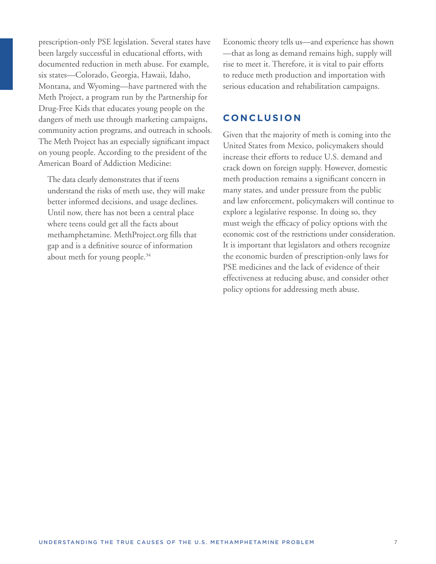prescription-only PSE legislation. Several states have been largely successful in educational efforts, with documented reduction in meth abuse. For example, six states—Colorado, Georgia, Hawaii, Idaho, Montana, and Wyoming—have partnered with the Meth Project, a program run by the Partnership for Drug-Free Kids that educates young people on the dangers of meth use through marketing campaigns, community action programs, and outreach in schools. The Meth Project has an especially significant impact on young people. According to the president of the American Board of Addiction Medicine:

 The data clearly demonstrates that if teens understand the risks of meth use, they will make better informed decisions, and usage declines. Until now, there has not been a central place where teens could get all the facts about methamphetamine. MethProject.org fills that gap and is a definitive source of information about meth for young people.<sup>34</sup>

Economic theory tells us—and experience has shown —that as long as demand remains high, supply will rise to meet it. Therefore, it is vital to pair efforts to reduce meth production and importation with serious education and rehabilitation campaigns.

### **CONCLUSION**

Given that the majority of meth is coming into the United States from Mexico, policymakers should increase their efforts to reduce U.S. demand and crack down on foreign supply. However, domestic meth production remains a significant concern in many states, and under pressure from the public and law enforcement, policymakers will continue to explore a legislative response. In doing so, they must weigh the efficacy of policy options with the economic cost of the restrictions under consideration. It is important that legislators and others recognize the economic burden of prescription-only laws for PSE medicines and the lack of evidence of their effectiveness at reducing abuse, and consider other policy options for addressing meth abuse.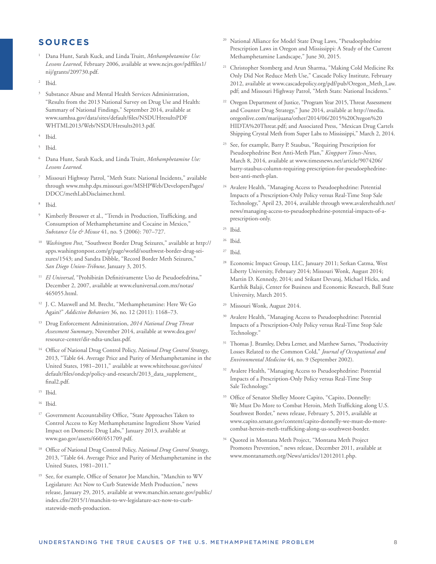## **S O U R C E S**

- 1 Dana Hunt, Sarah Kuck, and Linda Truitt, *Methamphetamine Use: Lessons Learned*, February 2006, available at www.ncjrs.gov/pdffiles1/ nij/grants/209730.pdf.
- Ibid.
- Substance Abuse and Mental Health Services Administration, "Results from the 2013 National Survey on Drug Use and Health: Summary of National Findings," September 2014, available at www.samhsa.gov/data/sites/default/files/NSDUHresultsPDF WHTML2013/Web/NSDUHresults2013.pdf.
- 4 Ibid.
- 5 Ibid.
- 6 Dana Hunt, Sarah Kuck, and Linda Truitt, *Methamphetamine Use: Lessons Learned*.
- 7 Missouri Highway Patrol, "Meth Stats: National Incidents," available through www.mshp.dps.missouri.gov/MSHPWeb/DevelopersPages/ DDCC/methLabDisclaimer.html.
- Ibid.
- 9 Kimberly Brouwer et al., "Trends in Production, Trafficking, and Consumption of Methamphetamine and Cocaine in Mexico," *Substance Use & Misuse* 41, no. 5 (2006): 707–727.
- <sup>10</sup>*Washington Post*, "Southwest Border Drug Seizures," available at http:// apps.washingtonpost.com/g/page/world/southwest-border-drug-seizures/1543; and Sandra Dibble, "Record Border Meth Seizures," *San Diego Union-Tribune*, January 3, 2015.
- <sup>11</sup> El Universal, "Prohibirán Definitivamente Uso de Pseudoefedrina," December 2, 2007, available at www.eluniversal.com.mx/notas/ 465055.html.
- 12 J. C. Maxwell and M. Brecht, "Methamphetamine: Here We Go Again?" *Addictive Behaviors* 36, no. 12 (2011): 1168–73.
- 13 Drug Enforcement Administration, *2014 National Drug Threat Assessment Summary*, November 2014, available at www.dea.gov/ resource-center/dir-ndta-unclass.pdf.
- 14 Office of National Drug Control Policy, *National Drug Control Strategy*, 2013, "Table 64. Average Price and Purity of Methamphetamine in the United States, 1981–2011," available at www.whitehouse.gov/sites/ default/files/ondcp/policy-and-research/2013\_data\_supplement\_ final2.pdf.
- 15 Ibid.
- 16 Ibid.
- <sup>17</sup> Government Accountability Office, "State Approaches Taken to Control Access to Key Methamphetamine Ingredient Show Varied Impact on Domestic Drug Labs," January 2013, available at www.gao.gov/assets/660/651709.pdf.
- 18 Office of National Drug Control Policy, *National Drug Control Strategy*, 2013, "Table 64. Average Price and Purity of Methamphetamine in the United States, 1981–2011."
- <sup>19</sup> See, for example, Office of Senator Joe Manchin, "Manchin to WV Legislature: Act Now to Curb Statewide Meth Production," news release, January 29, 2015, available at www.manchin.senate.gov/public/ index.cfm/2015/1/manchin-to-wv-legislature-act-now-to-curbstatewide-meth-production.
- 20 National Alliance for Model State Drug Laws, "Pseudoephedrine Prescription Laws in Oregon and Mississippi: A Study of the Current Methamphetamine Landscape," June 30, 2015.
- 21 Christopher Stomberg and Arun Sharma, "Making Cold Medicine Rx Only Did Not Reduce Meth Use," Cascade Policy Institute, February 2012, available at www.cascadepolicy.org/pdf/pub/Oregon\_Meth\_Law. pdf; and Missouri Highway Patrol, "Meth Stats: National Incidents."
- <sup>22</sup> Oregon Department of Justice, "Program Year 2015, Threat Assessment and Counter Drug Strategy," June 2014, available at http://media. oregonlive.com/marijuana/other/2014/06/2015%20Oregon%20 HIDTA%20Threat.pdf; and Associated Press, "Mexican Drug Cartels Shipping Crystal Meth from Super Labs to Mississippi," March 2, 2014.
- <sup>23</sup> See, for example, Barry P. Staubus, "Requiring Prescription for Pseudoephedrine Best Anti-Meth Plan," *Kingsport Times-News*, March 8, 2014, available at www.timesnews.net/article/9074206/ barry-staubus-column-requiring-prescription-for-pseudoephedrinebest-anti-meth-plan.
- 24 Avalere Health, "Managing Access to Pseudoephedrine: Potential Impacts of a Prescription-Only Policy versus Real-Time Stop Sale Technology," April 23, 2014, available through www.avalerehealth.net/ news/managing-access-to-pseudoephedrine-potential-impacts-of-aprescription-only.
- 25 Ibid.

- 27 Ibid.
- 28 Economic Impact Group, LLC, January 2011; Serkan Catma, West Liberty University, February 2014; Missouri Wonk, August 2014; Martin D. Kennedy, 2014; and Srikant Devaraj, Michael Hicks, and Karthik Balaji, Center for Business and Economic Research, Ball State University, March 2015.
- 29 Missouri Wonk, August 2014.
- 30 Avalere Health, "Managing Access to Pseudoephedrine: Potential Impacts of a Prescription-Only Policy versus Real-Time Stop Sale Technology."
- <sup>31</sup> Thomas J. Bramley, Debra Lerner, and Matthew Sarnes, "Productivity Losses Related to the Common Cold," *Journal of Occupational and Environmental Medicine* 44, no. 9 (September 2002).
- 32 Avalere Health, "Managing Access to Pseudoephedrine: Potential Impacts of a Prescription-Only Policy versus Real-Time Stop Sale Technology."
- <sup>33</sup> Office of Senator Shelley Moore Capito, "Capito, Donnelly: We Must Do More to Combat Heroin, Meth Trafficking along U.S. Southwest Border," news release, February 5, 2015, available at www.capito.senate.gov/content/capito-donnelly-we-must-do-morecombat-heroin-meth-trafficking-along-us-southwest-border.
- 34 Quoted in Montana Meth Project, "Montana Meth Project Promotes Prevention," news release, December 2011, available at www.montanameth.org/News/articles/12012011.php.

<sup>26</sup> Ibid.